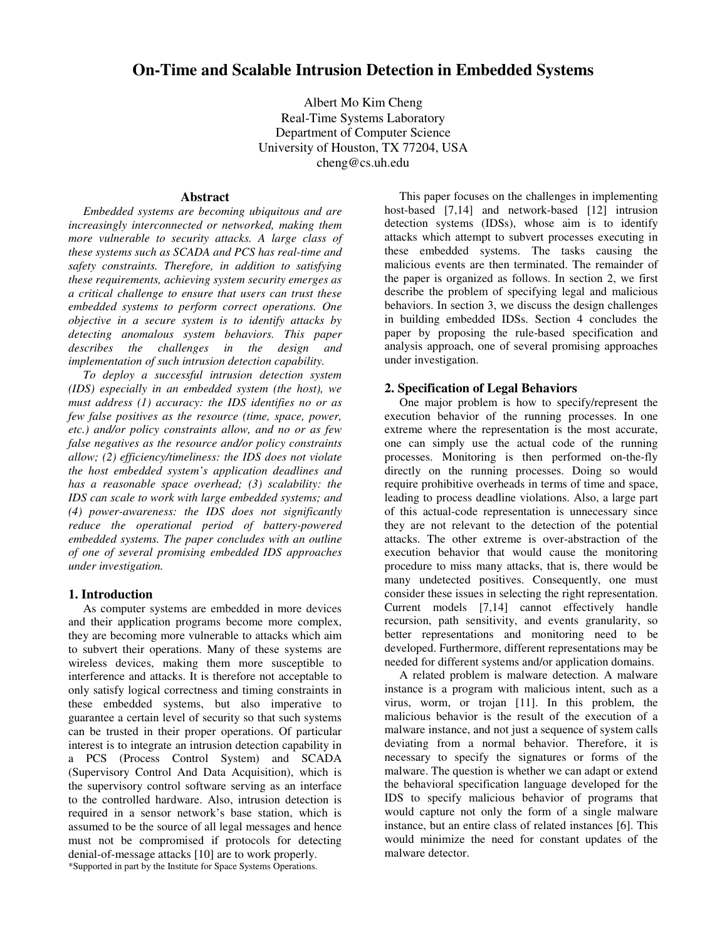# **On-Time and Scalable Intrusion Detection in Embedded Systems**

Albert Mo Kim Cheng Real-Time Systems Laboratory Department of Computer Science University of Houston, TX 77204, USA cheng@cs.uh.edu

#### **Abstract**

*Embedded systems are becoming ubiquitous and are increasingly interconnected or networked, making them more vulnerable to security attacks. A large class of these systems such as SCADA and PCS has real-time and safety constraints. Therefore, in addition to satisfying these requirements, achieving system security emerges as a critical challenge to ensure that users can trust these embedded systems to perform correct operations. One objective in a secure system is to identify attacks by detecting anomalous system behaviors. This paper describes the challenges in the design and implementation of such intrusion detection capability.*

*To deploy a successful intrusion detection system (IDS) especially in an embedded system (the host), we must address (1) accuracy: the IDS identifies no or as few false positives as the resource (time, space, power, etc.) and/or policy constraints allow, and no or as few false negatives as the resource and/or policy constraints allow; (2) efficiency/timeliness: the IDS does not violate the host embedded system's application deadlines and has a reasonable space overhead; (3) scalability: the IDS can scale to work with large embedded systems; and (4) power-awareness: the IDS does not significantly reduce the operational period of battery-powered embedded systems. The paper concludes with an outline of one of several promising embedded IDS approaches under investigation.*

#### **1. Introduction**

As computer systems are embedded in more devices and their application programs become more complex, they are becoming more vulnerable to attacks which aim to subvert their operations. Many of these systems are wireless devices, making them more susceptible to interference and attacks. It is therefore not acceptable to only satisfy logical correctness and timing constraints in these embedded systems, but also imperative to guarantee a certain level of security so that such systems can be trusted in their proper operations. Of particular interest is to integrate an intrusion detection capability in a PCS (Process Control System) and SCADA (Supervisory Control And Data Acquisition), which is the supervisory control software serving as an interface to the controlled hardware. Also, intrusion detection is required in a sensor network's base station, which is assumed to be the source of all legal messages and hence must not be compromised if protocols for detecting denial-of-message attacks [10] are to work properly.

This paper focuses on the challenges in implementing host-based [7,14] and network-based [12] intrusion detection systems (IDSs), whose aim is to identify attacks which attempt to subvert processes executing in these embedded systems. The tasks causing the malicious events are then terminated. The remainder of the paper is organized as follows. In section 2, we first describe the problem of specifying legal and malicious behaviors. In section 3, we discuss the design challenges in building embedded IDSs. Section 4 concludes the paper by proposing the rule-based specification and analysis approach, one of several promising approaches under investigation.

#### **2. Specification of Legal Behaviors**

One major problem is how to specify/represent the execution behavior of the running processes. In one extreme where the representation is the most accurate, one can simply use the actual code of the running processes. Monitoring is then performed on-the-fly directly on the running processes. Doing so would require prohibitive overheads in terms of time and space, leading to process deadline violations. Also, a large part of this actual-code representation is unnecessary since they are not relevant to the detection of the potential attacks. The other extreme is over-abstraction of the execution behavior that would cause the monitoring procedure to miss many attacks, that is, there would be many undetected positives. Consequently, one must consider these issues in selecting the right representation. Current models [7,14] cannot effectively handle recursion, path sensitivity, and events granularity, so better representations and monitoring need to be developed. Furthermore, different representations may be needed for different systems and/or application domains.

A related problem is malware detection. A malware instance is a program with malicious intent, such as a virus, worm, or trojan [11]. In this problem, the malicious behavior is the result of the execution of a malware instance, and not just a sequence of system calls deviating from a normal behavior. Therefore, it is necessary to specify the signatures or forms of the malware. The question is whether we can adapt or extend the behavioral specification language developed for the IDS to specify malicious behavior of programs that would capture not only the form of a single malware instance, but an entire class of related instances [6]. This would minimize the need for constant updates of the malware detector.

\*Supported in part by the Institute for Space Systems Operations.